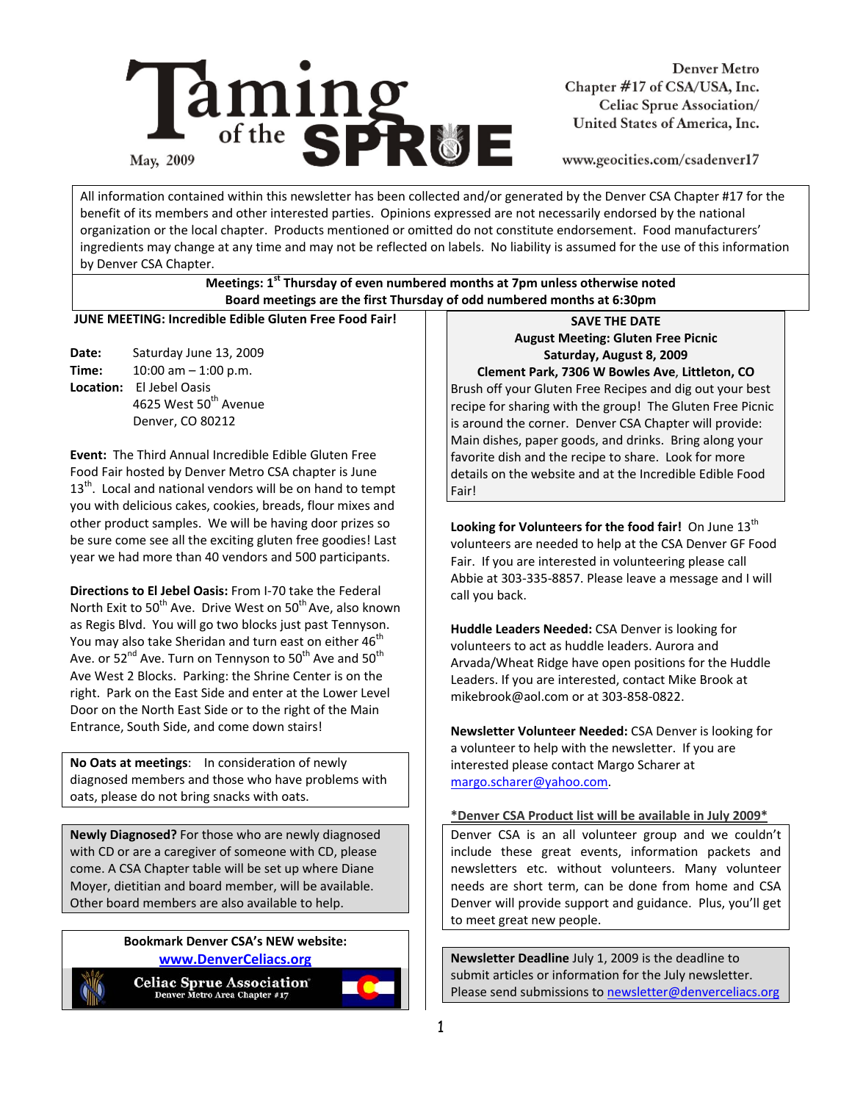

**Denver Metro** Chapter #17 of CSA/USA, Inc. Celiac Sprue Association/ United States of America, Inc.

www.geocities.com/csadenver17

All information contained within this newsletter has been collected and/or generated by the Denver CSA Chapter #17 for the benefit of its members and other interested parties. Opinions expressed are not necessarily endorsed by the national organization or the local chapter. Products mentioned or omitted do not constitute endorsement. Food manufacturers' ingredients may change at any time and may not be reflected on labels. No liability is assumed for the use of this information by Denver CSA Chapter.

## **Meetings: 1st Thursday of even numbered months at 7pm unless otherwise noted Board meetings are the first Thursday of odd numbered months at 6:30pm**

**JUNE MEETING: Incredible Edible Gluten Free Food Fair!** 

**Date:** Saturday June 13, 2009 **Time:** 10:00 am – 1:00 p.m. **Location:** El Jebel Oasis 4625 West 50<sup>th</sup> Avenue Denver, CO 80212

**Event:** The Third Annual Incredible Edible Gluten Free Food Fair hosted by Denver Metro CSA chapter is June  $13<sup>th</sup>$ . Local and national vendors will be on hand to tempt you with delicious cakes, cookies, breads, flour mixes and other product samples. We will be having door prizes so be sure come see all the exciting gluten free goodies! Last year we had more than 40 vendors and 500 participants.

**Directions to El Jebel Oasis:** From I‐70 take the Federal North Exit to  $50<sup>th</sup>$  Ave. Drive West on  $50<sup>th</sup>$  Ave, also known as Regis Blvd. You will go two blocks just past Tennyson. You may also take Sheridan and turn east on either 46<sup>th</sup> Ave. or  $52^{nd}$  Ave. Turn on Tennyson to  $50^{th}$  Ave and  $50^{th}$ Ave West 2 Blocks. Parking: the Shrine Center is on the right. Park on the East Side and enter at the Lower Level Door on the North East Side or to the right of the Main Entrance, South Side, and come down stairs!

**No Oats at meetings**: In consideration of newly diagnosed members and those who have problems with oats, please do not bring snacks with oats.

**Newly Diagnosed?** For those who are newly diagnosed with CD or are a caregiver of someone with CD, please come. A CSA Chapter table will be set up where Diane Moyer, dietitian and board member, will be available. Other board members are also available to help.

## **Bookmark Denver CSA's NEW website: www.DenverCeliacs.org**



Celiac Sprue Association<sup>®</sup><br>Denver Metro Area Chapter #17



**SAVE THE DATE August Meeting: Gluten Free Picnic Saturday, August 8, 2009** 

**Clement Park, 7306 W Bowles Ave**, **Littleton, CO**  Brush off your Gluten Free Recipes and dig out your best recipe for sharing with the group! The Gluten Free Picnic is around the corner. Denver CSA Chapter will provide: Main dishes, paper goods, and drinks. Bring along your favorite dish and the recipe to share. Look for more details on the website and at the Incredible Edible Food Fair!

Looking for Volunteers for the food fair! On June 13<sup>th</sup> volunteers are needed to help at the CSA Denver GF Food Fair. If you are interested in volunteering please call Abbie at 303‐335‐8857. Please leave a message and I will call you back.

**Huddle Leaders Needed:** CSA Denver is looking for volunteers to act as huddle leaders. Aurora and Arvada/Wheat Ridge have open positions for the Huddle Leaders. If you are interested, contact Mike Brook at mikebrook@aol.com or at 303‐858‐0822.

**Newsletter Volunteer Needed:** CSA Denver is looking for a volunteer to help with the newsletter. If you are interested please contact Margo Scharer at margo.scharer@yahoo.com.

# **\*Denver CSA Product list will be available in July 2009\***

Denver CSA is an all volunteer group and we couldn't include these great events, information packets and newsletters etc. without volunteers. Many volunteer needs are short term, can be done from home and CSA Denver will provide support and guidance. Plus, you'll get to meet great new people.

**Newsletter Deadline** July 1, 2009 is the deadline to submit articles or information for the July newsletter. Please send submissions to newsletter@denverceliacs.org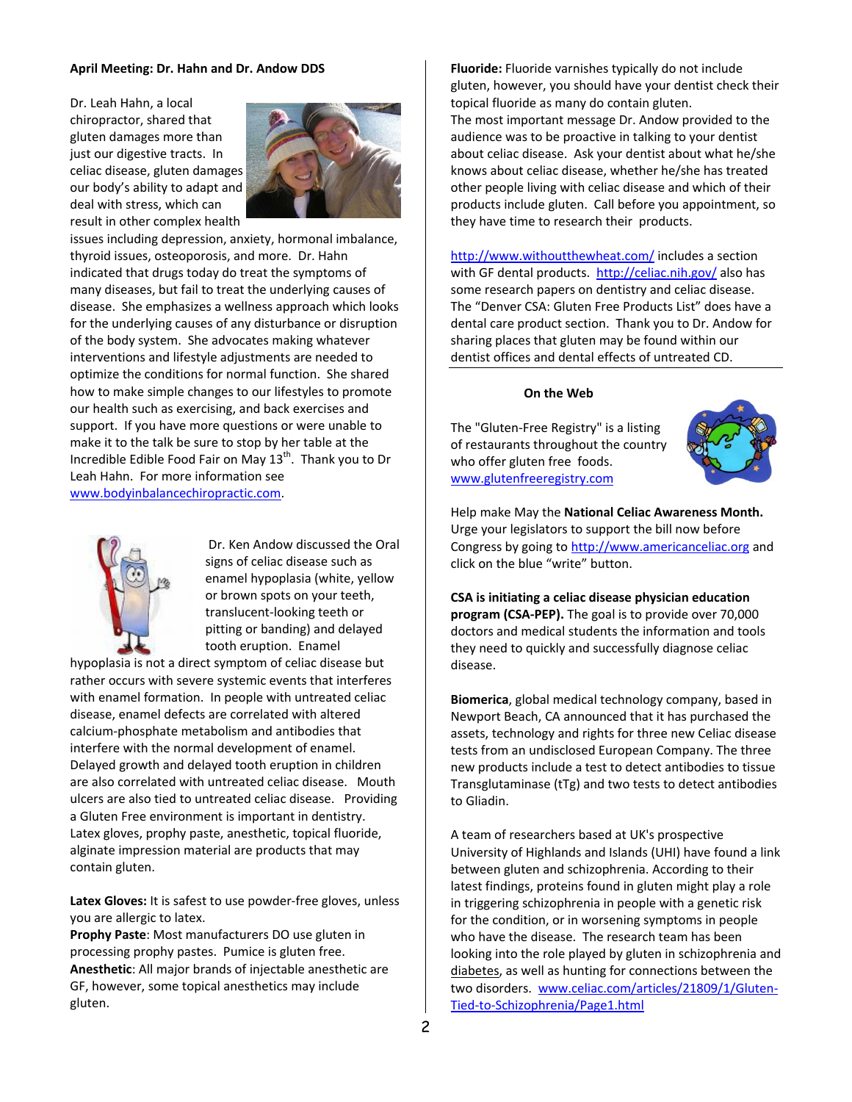## **April Meeting: Dr. Hahn and Dr. Andow DDS**

Dr. Leah Hahn, a local chiropractor, shared that gluten damages more than just our digestive tracts. In celiac disease, gluten damages our body's ability to adapt and deal with stress, which can result in other complex health



issues including depression, anxiety, hormonal imbalance, thyroid issues, osteoporosis, and more. Dr. Hahn indicated that drugs today do treat the symptoms of many diseases, but fail to treat the underlying causes of disease. She emphasizes a wellness approach which looks for the underlying causes of any disturbance or disruption of the body system. She advocates making whatever interventions and lifestyle adjustments are needed to optimize the conditions for normal function. She shared how to make simple changes to our lifestyles to promote our health such as exercising, and back exercises and support. If you have more questions or were unable to make it to the talk be sure to stop by her table at the Incredible Edible Food Fair on May  $13<sup>th</sup>$ . Thank you to Dr Leah Hahn. For more information see www.bodyinbalancechiropractic.com.



 Dr. Ken Andow discussed the Oral signs of celiac disease such as enamel hypoplasia (white, yellow or brown spots on your teeth, translucent‐looking teeth or pitting or banding) and delayed tooth eruption. Enamel

hypoplasia is not a direct symptom of celiac disease but rather occurs with severe systemic events that interferes with enamel formation. In people with untreated celiac disease, enamel defects are correlated with altered calcium‐phosphate metabolism and antibodies that interfere with the normal development of enamel. Delayed growth and delayed tooth eruption in children are also correlated with untreated celiac disease. Mouth ulcers are also tied to untreated celiac disease. Providing a Gluten Free environment is important in dentistry. Latex gloves, prophy paste, anesthetic, topical fluoride, alginate impression material are products that may contain gluten.

Latex Gloves: It is safest to use powder-free gloves, unless you are allergic to latex.

**Prophy Paste**: Most manufacturers DO use gluten in processing prophy pastes. Pumice is gluten free. **Anesthetic**: All major brands of injectable anesthetic are GF, however, some topical anesthetics may include gluten.

**Fluoride:** Fluoride varnishes typically do not include gluten, however, you should have your dentist check their topical fluoride as many do contain gluten. The most important message Dr. Andow provided to the audience was to be proactive in talking to your dentist about celiac disease. Ask your dentist about what he/she knows about celiac disease, whether he/she has treated other people living with celiac disease and which of their products include gluten. Call before you appointment, so they have time to research their products.

http://www.withoutthewheat.com/ includes a section with GF dental products. http://celiac.nih.gov/ also has some research papers on dentistry and celiac disease. The "Denver CSA: Gluten Free Products List" does have a dental care product section. Thank you to Dr. Andow for sharing places that gluten may be found within our dentist offices and dental effects of untreated CD.

#### **On the Web**

The "Gluten‐Free Registry" is a listing of restaurants throughout the country who offer gluten free foods. www.glutenfreeregistry.com



Help make May the **National Celiac Awareness Month.** Urge your legislators to support the bill now before Congress by going to http://www.americanceliac.org and click on the blue "write" button.

**CSA is initiating a celiac disease physician education program (CSA‐PEP).** The goal is to provide over 70,000 doctors and medical students the information and tools they need to quickly and successfully diagnose celiac disease.

**Biomerica**, global medical technology company, based in Newport Beach, CA announced that it has purchased the assets, technology and rights for three new Celiac disease tests from an undisclosed European Company. The three new products include a test to detect antibodies to tissue Transglutaminase (tTg) and two tests to detect antibodies to Gliadin.

A team of researchers based at UK's prospective University of Highlands and Islands (UHI) have found a link between gluten and schizophrenia. According to their latest findings, proteins found in gluten might play a role in triggering schizophrenia in people with a genetic risk for the condition, or in worsening symptoms in people who have the disease. The research team has been looking into the role played by gluten in schizophrenia and diabetes, as well as hunting for connections between the two disorders. www.celiac.com/articles/21809/1/Gluten‐ Tied‐to‐Schizophrenia/Page1.html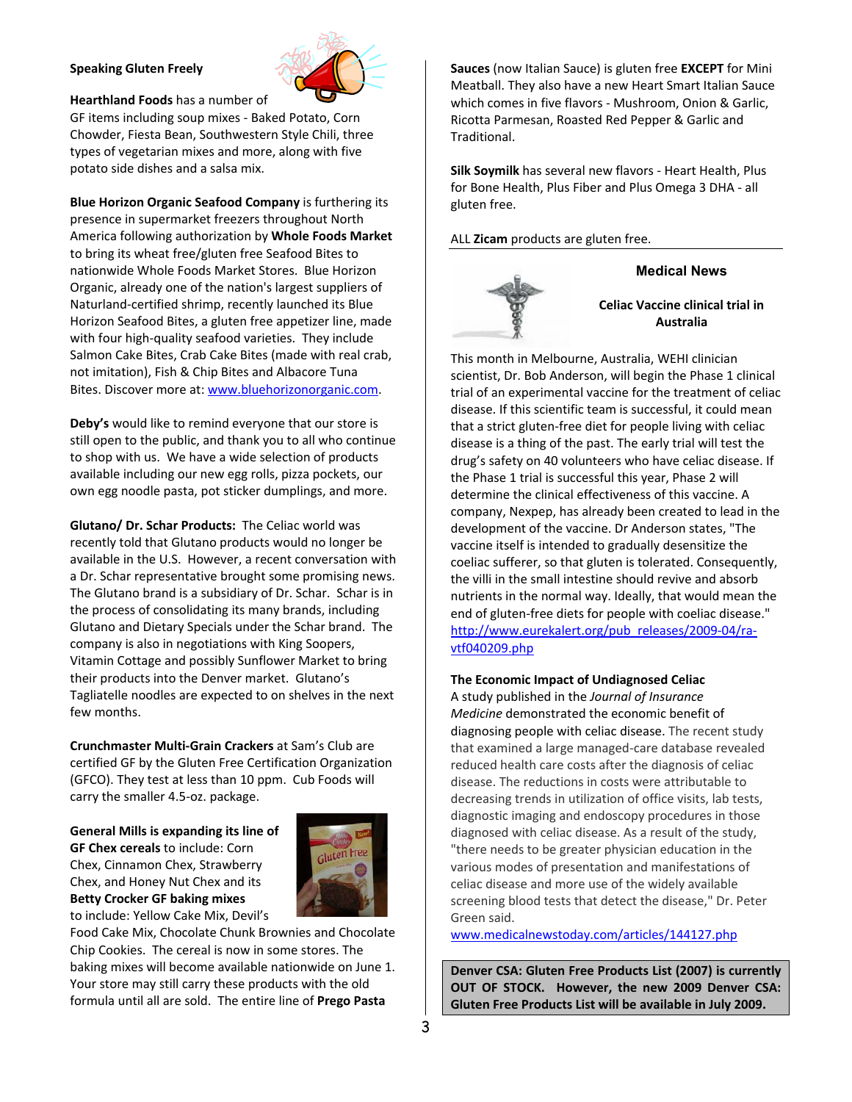## **Speaking Gluten Freely**



**Hearthland Foods** has a number of GF items including soup mixes ‐ Baked Potato, Corn Chowder, Fiesta Bean, Southwestern Style Chili, three types of vegetarian mixes and more, along with five potato side dishes and a salsa mix.

**Blue Horizon Organic Seafood Company** is furthering its presence in supermarket freezers throughout North America following authorization by **Whole Foods Market** to bring its wheat free/gluten free Seafood Bites to nationwide Whole Foods Market Stores. Blue Horizon Organic, already one of the nation's largest suppliers of Naturland‐certified shrimp, recently launched its Blue Horizon Seafood Bites, a gluten free appetizer line, made with four high-quality seafood varieties. They include Salmon Cake Bites, Crab Cake Bites (made with real crab, not imitation), Fish & Chip Bites and Albacore Tuna Bites. Discover more at: www.bluehorizonorganic.com.

**Deby's** would like to remind everyone that our store is still open to the public, and thank you to all who continue to shop with us. We have a wide selection of products available including our new egg rolls, pizza pockets, our own egg noodle pasta, pot sticker dumplings, and more.

**Glutano/ Dr. Schar Products:** The Celiac world was recently told that Glutano products would no longer be available in the U.S. However, a recent conversation with a Dr. Schar representative brought some promising news. The Glutano brand is a subsidiary of Dr. Schar. Schar is in the process of consolidating its many brands, including Glutano and Dietary Specials under the Schar brand. The company is also in negotiations with King Soopers, Vitamin Cottage and possibly Sunflower Market to bring their products into the Denver market. Glutano's Tagliatelle noodles are expected to on shelves in the next few months.

**Crunchmaster Multi‐Grain Crackers** at Sam's Club are certified GF by the Gluten Free Certification Organization (GFCO). They test at less than 10 ppm. Cub Foods will carry the smaller 4.5‐oz. package.

**General Mills is expanding its line of GF Chex cereals** to include: Corn Chex, Cinnamon Chex, Strawberry Chex, and Honey Nut Chex and its **Betty Crocker GF baking mixes**  to include: Yellow Cake Mix, Devil's



Food Cake Mix, Chocolate Chunk Brownies and Chocolate Chip Cookies. The cereal is now in some stores. The baking mixes will become available nationwide on June 1. Your store may still carry these products with the old formula until all are sold. The entire line of **Prego Pasta** 

**Sauces** (now Italian Sauce) is gluten free **EXCEPT** for Mini Meatball. They also have a new Heart Smart Italian Sauce which comes in five flavors - Mushroom, Onion & Garlic, Ricotta Parmesan, Roasted Red Pepper & Garlic and Traditional.

**Silk Soymilk** has several new flavors ‐ Heart Health, Plus for Bone Health, Plus Fiber and Plus Omega 3 DHA ‐ all gluten free.

ALL **Zicam** products are gluten free.



# **Medical News**

**Celiac Vaccine clinical trial in Australia** 

This month in Melbourne, Australia, WEHI clinician scientist, Dr. Bob Anderson, will begin the Phase 1 clinical trial of an experimental vaccine for the treatment of celiac disease. If this scientific team is successful, it could mean that a strict gluten‐free diet for people living with celiac disease is a thing of the past. The early trial will test the drug's safety on 40 volunteers who have celiac disease. If the Phase 1 trial is successful this year, Phase 2 will determine the clinical effectiveness of this vaccine. A company, Nexpep, has already been created to lead in the development of the vaccine. Dr Anderson states, "The vaccine itself is intended to gradually desensitize the coeliac sufferer, so that gluten is tolerated. Consequently, the villi in the small intestine should revive and absorb nutrients in the normal way. Ideally, that would mean the end of gluten‐free diets for people with coeliac disease." http://www.eurekalert.org/pub\_releases/2009-04/ravtf040209.php

## **The Economic Impact of Undiagnosed Celiac**

A study published in the *Journal of Insurance Medicine* demonstrated the economic benefit of diagnosing people with celiac disease. The recent study that examined a large managed‐care database revealed reduced health care costs after the diagnosis of celiac disease. The reductions in costs were attributable to decreasing trends in utilization of office visits, lab tests, diagnostic imaging and endoscopy procedures in those diagnosed with celiac disease. As a result of the study, "there needs to be greater physician education in the various modes of presentation and manifestations of celiac disease and more use of the widely available screening blood tests that detect the disease," Dr. Peter Green said.

www.medicalnewstoday.com/articles/144127.php

**Denver CSA: Gluten Free Products List (2007) is currently OUT OF STOCK. However, the new 2009 Denver CSA: Gluten Free Products List will be available in July 2009.**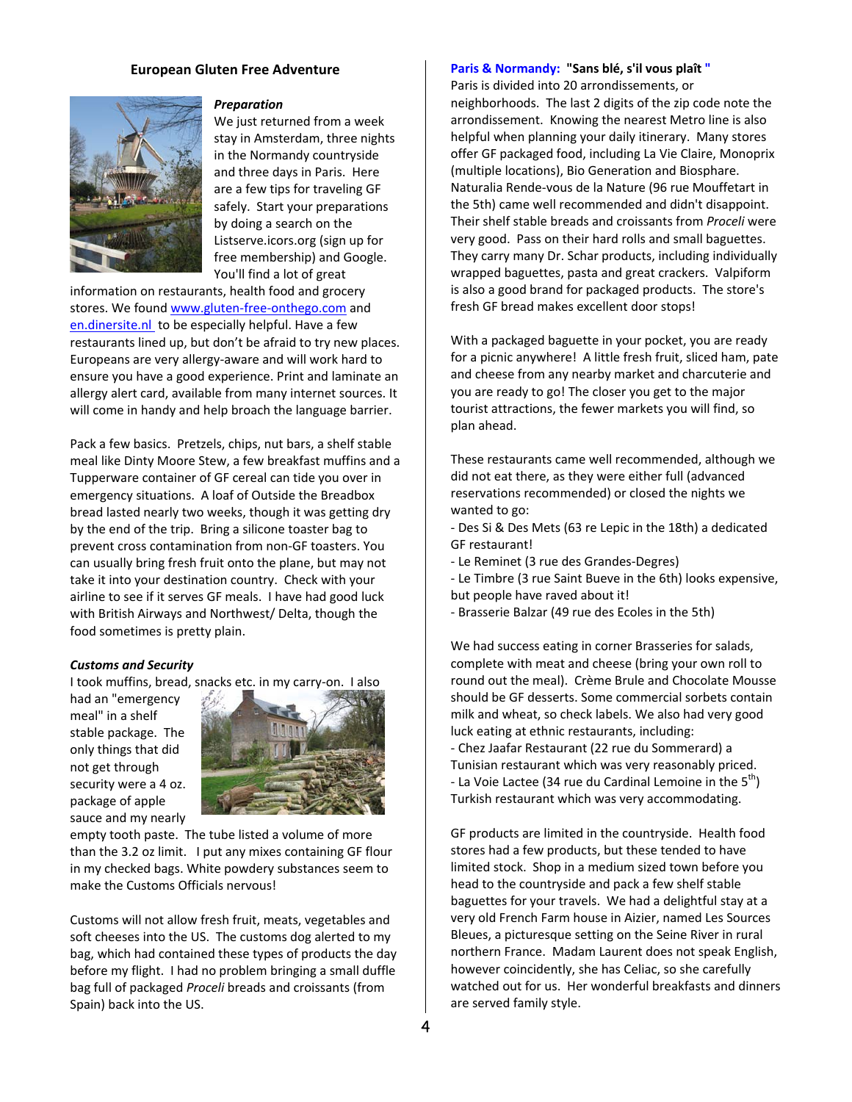## **European Gluten Free Adventure**



#### *Preparation*

We just returned from a week stay in Amsterdam, three nights in the Normandy countryside and three days in Paris. Here are a few tips for traveling GF safely. Start your preparations by doing a search on the Listserve.icors.org (sign up for free membership) and Google. You'll find a lot of great

information on restaurants, health food and grocery stores. We found www.gluten‐free‐onthego.com and en.dinersite.nl to be especially helpful. Have a few restaurants lined up, but don't be afraid to try new places. Europeans are very allergy‐aware and will work hard to ensure you have a good experience. Print and laminate an allergy alert card, available from many internet sources. It will come in handy and help broach the language barrier.

Pack a few basics. Pretzels, chips, nut bars, a shelf stable meal like Dinty Moore Stew, a few breakfast muffins and a Tupperware container of GF cereal can tide you over in emergency situations. A loaf of Outside the Breadbox bread lasted nearly two weeks, though it was getting dry by the end of the trip. Bring a silicone toaster bag to prevent cross contamination from non‐GF toasters. You can usually bring fresh fruit onto the plane, but may not take it into your destination country. Check with your airline to see if it serves GF meals. I have had good luck with British Airways and Northwest/ Delta, though the food sometimes is pretty plain.

#### *Customs and Security*

I took muffins, bread, snacks etc. in my carry‐on. I also

had an "emergency meal" in a shelf stable package. The only things that did not get through security were a 4 oz. package of apple sauce and my nearly



empty tooth paste. The tube listed a volume of more than the 3.2 oz limit. I put any mixes containing GF flour in my checked bags. White powdery substances seem to make the Customs Officials nervous!

Customs will not allow fresh fruit, meats, vegetables and soft cheeses into the US. The customs dog alerted to my bag, which had contained these types of products the day before my flight. I had no problem bringing a small duffle bag full of packaged *Proceli* breads and croissants (from Spain) back into the US.

#### **Paris & Normandy: "Sans blé, s'il vous plaît "**

Paris is divided into 20 arrondissements, or neighborhoods. The last 2 digits of the zip code note the arrondissement. Knowing the nearest Metro line is also helpful when planning your daily itinerary. Many stores offer GF packaged food, including La Vie Claire, Monoprix (multiple locations), Bio Generation and Biosphare. Naturalia Rende‐vous de la Nature (96 rue Mouffetart in the 5th) came well recommended and didn't disappoint. Their shelf stable breads and croissants from *Proceli* were very good. Pass on their hard rolls and small baguettes. They carry many Dr. Schar products, including individually wrapped baguettes, pasta and great crackers. Valpiform is also a good brand for packaged products. The store's fresh GF bread makes excellent door stops!

With a packaged baguette in your pocket, you are ready for a picnic anywhere! A little fresh fruit, sliced ham, pate and cheese from any nearby market and charcuterie and you are ready to go! The closer you get to the major tourist attractions, the fewer markets you will find, so plan ahead.

These restaurants came well recommended, although we did not eat there, as they were either full (advanced reservations recommended) or closed the nights we wanted to go:

‐ Des Si & Des Mets (63 re Lepic in the 18th) a dedicated GF restaurant!

- ‐ Le Reminet (3 rue des Grandes‐Degres)
- ‐ Le Timbre (3 rue Saint Bueve in the 6th) looks expensive, but people have raved about it!
- ‐ Brasserie Balzar (49 rue des Ecoles in the 5th)

We had success eating in corner Brasseries for salads, complete with meat and cheese (bring your own roll to round out the meal). Crème Brule and Chocolate Mousse should be GF desserts. Some commercial sorbets contain milk and wheat, so check labels. We also had very good luck eating at ethnic restaurants, including: ‐ Chez Jaafar Restaurant (22 rue du Sommerard) a Tunisian restaurant which was very reasonably priced. - La Voie Lactee (34 rue du Cardinal Lemoine in the  $5<sup>th</sup>$ ) Turkish restaurant which was very accommodating.

GF products are limited in the countryside. Health food stores had a few products, but these tended to have limited stock. Shop in a medium sized town before you head to the countryside and pack a few shelf stable baguettes for your travels. We had a delightful stay at a very old French Farm house in Aizier, named Les Sources Bleues, a picturesque setting on the Seine River in rural northern France. Madam Laurent does not speak English, however coincidently, she has Celiac, so she carefully watched out for us. Her wonderful breakfasts and dinners are served family style.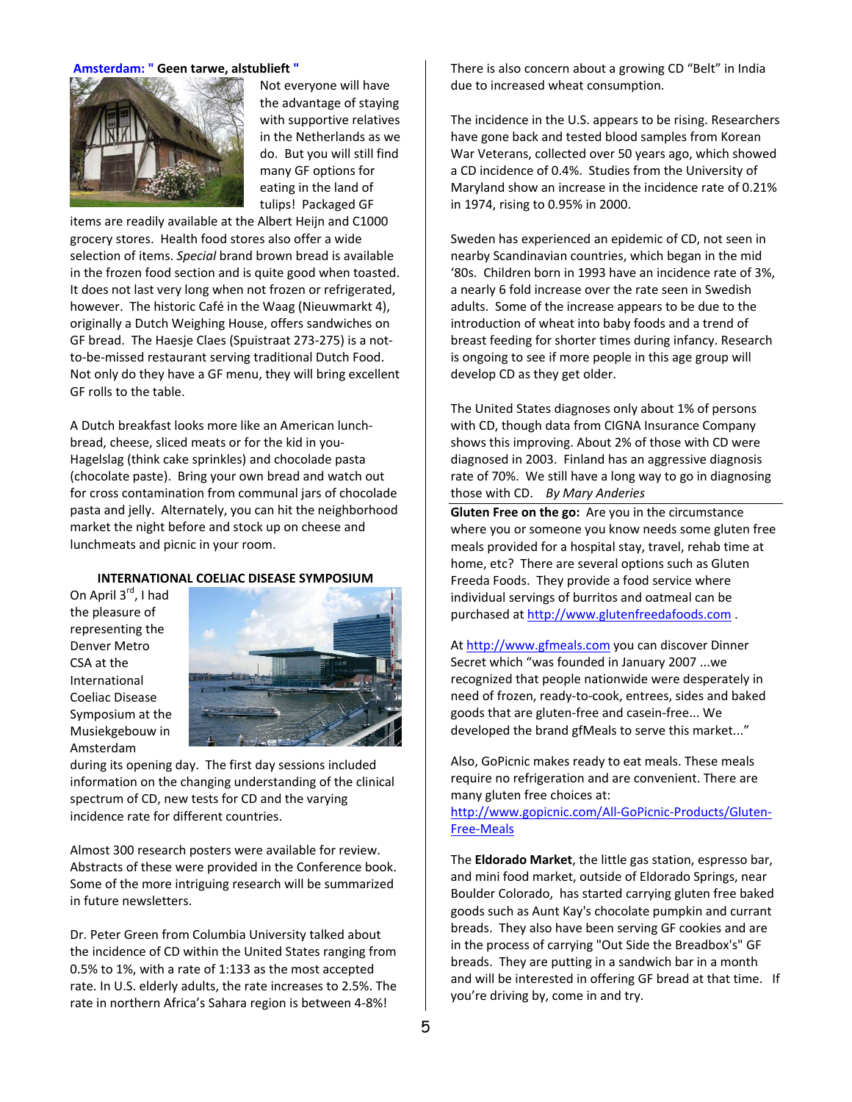#### **Amsterdam: " Geen tarwe, alstublieft "**



Not everyone will have the advantage of staying with supportive relatives in the Netherlands as we do. But you will still find many GF options for eating in the land of tulips! Packaged GF

items are readily available at the Albert Heijn and C1000 grocery stores. Health food stores also offer a wide selection of items. *Special* brand brown bread is available in the frozen food section and is quite good when toasted. It does not last very long when not frozen or refrigerated, however. The historic Café in the Waag (Nieuwmarkt 4), originally a Dutch Weighing House, offers sandwiches on GF bread. The Haesje Claes (Spuistraat 273‐275) is a not‐ to‐be‐missed restaurant serving traditional Dutch Food. Not only do they have a GF menu, they will bring excellent GF rolls to the table.

A Dutch breakfast looks more like an American lunch‐ bread, cheese, sliced meats or for the kid in you‐ Hagelslag (think cake sprinkles) and chocolade pasta (chocolate paste). Bring your own bread and watch out for cross contamination from communal jars of chocolade pasta and jelly. Alternately, you can hit the neighborhood market the night before and stock up on cheese and lunchmeats and picnic in your room.

#### **INTERNATIONAL COELIAC DISEASE SYMPOSIUM**

On April 3<sup>rd</sup>, I had the pleasure of representing the Denver Metro CSA at the International Coeliac Disease Symposium at the Musiekgebouw in Amsterdam



during its opening day. The first day sessions included information on the changing understanding of the clinical spectrum of CD, new tests for CD and the varying incidence rate for different countries.

Almost 300 research posters were available for review. Abstracts of these were provided in the Conference book. Some of the more intriguing research will be summarized in future newsletters.

Dr. Peter Green from Columbia University talked about the incidence of CD within the United States ranging from 0.5% to 1%, with a rate of 1:133 as the most accepted rate. In U.S. elderly adults, the rate increases to 2.5%. The rate in northern Africa's Sahara region is between 4‐8%!

There is also concern about a growing CD "Belt" in India due to increased wheat consumption.

The incidence in the U.S. appears to be rising. Researchers have gone back and tested blood samples from Korean War Veterans, collected over 50 years ago, which showed a CD incidence of 0.4%. Studies from the University of Maryland show an increase in the incidence rate of 0.21% in 1974, rising to 0.95% in 2000.

Sweden has experienced an epidemic of CD, not seen in nearby Scandinavian countries, which began in the mid '80s. Children born in 1993 have an incidence rate of 3%, a nearly 6 fold increase over the rate seen in Swedish adults. Some of the increase appears to be due to the introduction of wheat into baby foods and a trend of breast feeding for shorter times during infancy. Research is ongoing to see if more people in this age group will develop CD as they get older.

The United States diagnoses only about 1% of persons with CD, though data from CIGNA Insurance Company shows this improving. About 2% of those with CD were diagnosed in 2003. Finland has an aggressive diagnosis rate of 70%. We still have a long way to go in diagnosing those with CD. *By Mary Anderies*

**Gluten Free on the go:** Are you in the circumstance where you or someone you know needs some gluten free meals provided for a hospital stay, travel, rehab time at home, etc? There are several options such as Gluten Freeda Foods. They provide a food service where individual servings of burritos and oatmeal can be purchased at http://www.glutenfreedafoods.com .

At http://www.gfmeals.com you can discover Dinner Secret which "was founded in January 2007 ...we recognized that people nationwide were desperately in need of frozen, ready‐to‐cook, entrees, sides and baked goods that are gluten‐free and casein‐free... We developed the brand gfMeals to serve this market..."

Also, GoPicnic makes ready to eat meals. These meals require no refrigeration and are convenient. There are many gluten free choices at:

http://www.gopicnic.com/All‐GoPicnic‐Products/Gluten‐ Free‐Meals

The **Eldorado Market**, the little gas station, espresso bar, and mini food market, outside of Eldorado Springs, near Boulder Colorado, has started carrying gluten free baked goods such as Aunt Kay's chocolate pumpkin and currant breads. They also have been serving GF cookies and are in the process of carrying "Out Side the Breadbox's" GF breads. They are putting in a sandwich bar in a month and will be interested in offering GF bread at that time. If you're driving by, come in and try.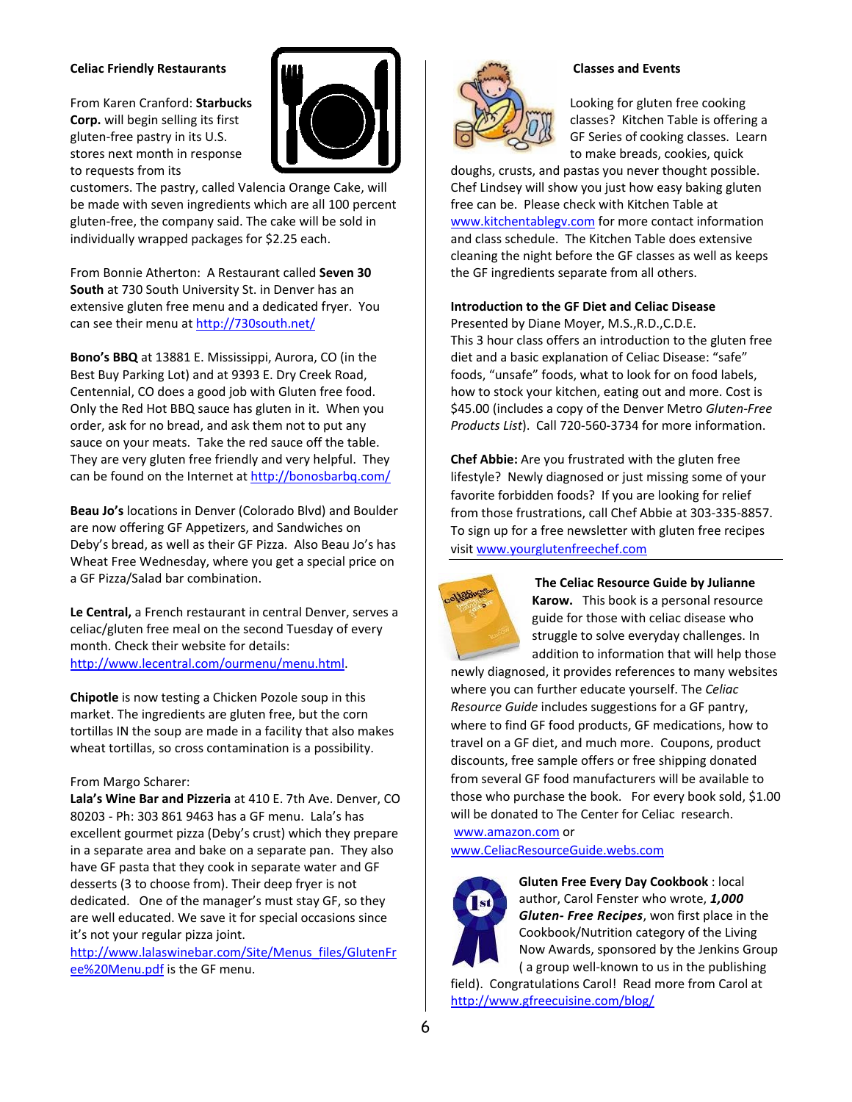## **Celiac Friendly Restaurants**

From Karen Cranford: Starbucks Corp. will begin selling its first gluten-free pastry in its U.S. stores next month in response to requests from its



customers. The pastry, called Valencia Orange Cake, will be made with seven ingredients which are all 100 percent gluten-free, the company said. The cake will be sold in individually wrapped packages for \$2.25 each.

From Bonnie Atherton: A Restaurant called Seven 30 South at 730 South University St. in Denver has an extensive gluten free menu and a dedicated fryer. You can see their menu at http://730south.net/

Bono's BBQ at 13881 E. Mississippi, Aurora, CO (in the Best Buy Parking Lot) and at 9393 E. Dry Creek Road, Centennial, CO does a good job with Gluten free food. Only the Red Hot BBQ sauce has gluten in it. When you order, ask for no bread, and ask them not to put any sauce on your meats. Take the red sauce off the table. They are very gluten free friendly and very helpful. They can be found on the Internet at http://bonosbarbq.com/

Beau Jo's locations in Denver (Colorado Blvd) and Boulder are now offering GF Appetizers, and Sandwiches on Deby's bread, as well as their GF Pizza. Also Beau Jo's has Wheat Free Wednesday, where you get a special price on a GF Pizza/Salad bar combination.

Le Central, a French restaurant in central Denver, serves a celiac/gluten free meal on the second Tuesday of every month. Check their website for details: http://www.lecentral.com/ourmenu/menu.html

Chipotle is now testing a Chicken Pozole soup in this market. The ingredients are gluten free, but the corn tortillas IN the soup are made in a facility that also makes wheat tortillas, so cross contamination is a possibility.

## From Margo Scharer:

Lala's Wine Bar and Pizzeria at 410 E. 7th Ave. Denver, CO 80203 - Ph: 303 861 9463 has a GF menu. Lala's has excellent gourmet pizza (Deby's crust) which they prepare in a separate area and bake on a separate pan. They also have GF pasta that they cook in separate water and GF desserts (3 to choose from). Their deep fryer is not dedicated. One of the manager's must stay GF, so they are well educated. We save it for special occasions since it's not your regular pizza joint.

http://www.lalaswinebar.com/Site/Menus files/GlutenFr ee%20Menu.pdf is the GF menu.



## **Classes and Events**

Looking for gluten free cooking classes? Kitchen Table is offering a GF Series of cooking classes. Learn to make breads, cookies, quick

doughs, crusts, and pastas you never thought possible. Chef Lindsey will show you just how easy baking gluten free can be. Please check with Kitchen Table at www.kitchentablegv.com for more contact information and class schedule. The Kitchen Table does extensive cleaning the night before the GF classes as well as keeps the GF ingredients separate from all others.

## **Introduction to the GF Diet and Celiac Disease**

Presented by Diane Moyer, M.S., R.D., C.D.E. This 3 hour class offers an introduction to the gluten free diet and a basic explanation of Celiac Disease: "safe" foods, "unsafe" foods, what to look for on food labels, how to stock your kitchen, eating out and more. Cost is \$45.00 (includes a copy of the Denver Metro Gluten-Free Products List). Call 720-560-3734 for more information.

Chef Abbie: Are you frustrated with the gluten free lifestyle? Newly diagnosed or just missing some of your favorite forbidden foods? If you are looking for relief from those frustrations, call Chef Abbie at 303-335-8857. To sign up for a free newsletter with gluten free recipes visit www.yourglutenfreechef.com



The Celiac Resource Guide by Julianne **Karow.** This book is a personal resource guide for those with celiac disease who struggle to solve everyday challenges. In addition to information that will help those

newly diagnosed, it provides references to many websites where you can further educate yourself. The Celiac Resource Guide includes suggestions for a GF pantry, where to find GF food products, GF medications, how to travel on a GF diet, and much more. Coupons, product discounts, free sample offers or free shipping donated from several GF food manufacturers will be available to those who purchase the book. For every book sold, \$1.00 will be donated to The Center for Celiac research.

www.amazon.com or www.CeliacResourceGuide.webs.com



Gluten Free Every Day Cookbook: local author, Carol Fenster who wrote, 1,000 Gluten- Free Recipes, won first place in the Cookbook/Nutrition category of the Living Now Awards, sponsored by the Jenkins Group

(a group well-known to us in the publishing field). Congratulations Carol! Read more from Carol at http://www.gfreecuisine.com/blog/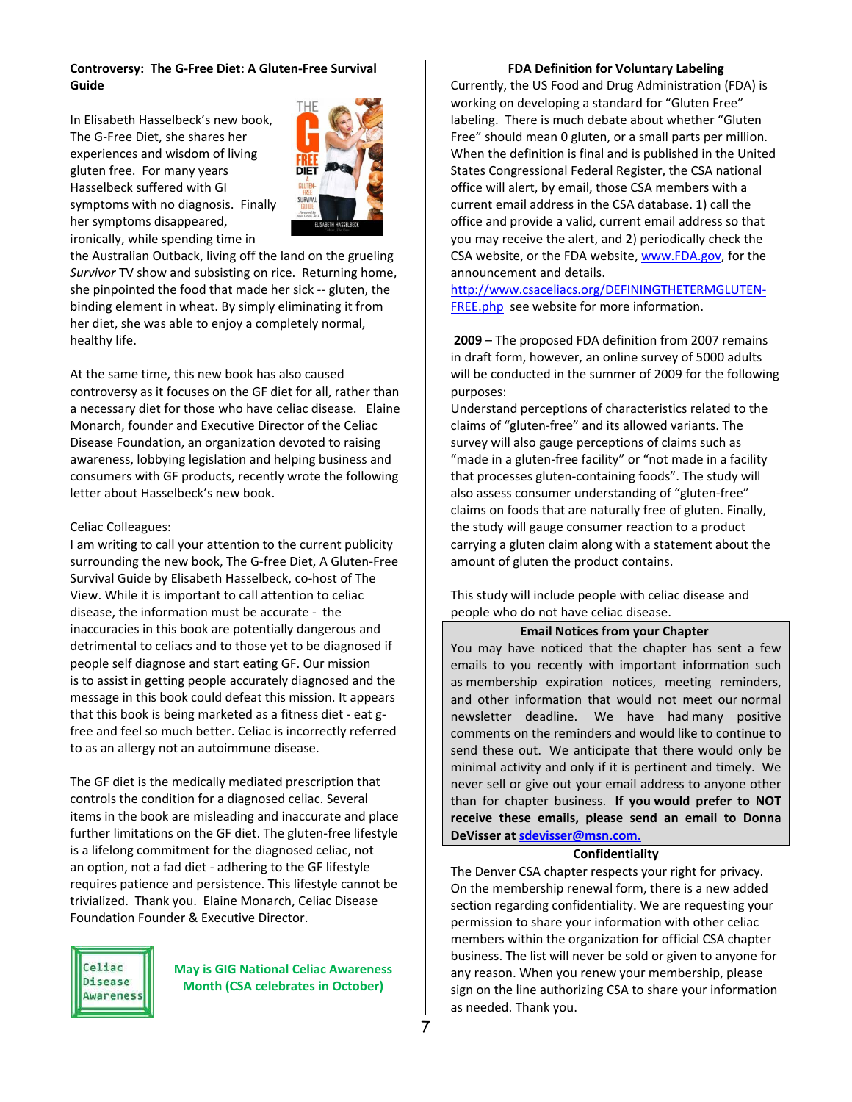## **Controversy: The G‐Free Diet: A Gluten‐Free Survival Guide**

In Elisabeth Hasselbeck's new book, The G‐Free Diet, she shares her experiences and wisdom of living gluten free. For many years Hasselbeck suffered with GI symptoms with no diagnosis. Finally her symptoms disappeared, ironically, while spending time in



the Australian Outback, living off the land on the grueling *Survivor* TV show and subsisting on rice. Returning home, she pinpointed the food that made her sick ‐‐ gluten, the binding element in wheat. By simply eliminating it from her diet, she was able to enjoy a completely normal, healthy life.

At the same time, this new book has also caused controversy as it focuses on the GF diet for all, rather than a necessary diet for those who have celiac disease. Elaine Monarch, founder and Executive Director of the Celiac Disease Foundation, an organization devoted to raising awareness, lobbying legislation and helping business and consumers with GF products, recently wrote the following letter about Hasselbeck's new book.

## Celiac Colleagues:

I am writing to call your attention to the current publicity surrounding the new book, The G‐free Diet, A Gluten‐Free Survival Guide by Elisabeth Hasselbeck, co‐host of The View. While it is important to call attention to celiac disease, the information must be accurate ‐ the inaccuracies in this book are potentially dangerous and detrimental to celiacs and to those yet to be diagnosed if people self diagnose and start eating GF. Our mission is to assist in getting people accurately diagnosed and the message in this book could defeat this mission. It appears that this book is being marketed as a fitness diet ‐ eat g‐ free and feel so much better. Celiac is incorrectly referred to as an allergy not an autoimmune disease.

The GF diet is the medically mediated prescription that controls the condition for a diagnosed celiac. Several items in the book are misleading and inaccurate and place further limitations on the GF diet. The gluten‐free lifestyle is a lifelong commitment for the diagnosed celiac, not an option, not a fad diet ‐ adhering to the GF lifestyle requires patience and persistence. This lifestyle cannot be trivialized. Thank you. Elaine Monarch, Celiac Disease Foundation Founder & Executive Director.



**May is GIG National Celiac Awareness Month (CSA celebrates in October)** 

#### **FDA Definition for Voluntary Labeling**

Currently, the US Food and Drug Administration (FDA) is working on developing a standard for "Gluten Free" labeling. There is much debate about whether "Gluten Free" should mean 0 gluten, or a small parts per million. When the definition is final and is published in the United States Congressional Federal Register, the CSA national office will alert, by email, those CSA members with a current email address in the CSA database. 1) call the office and provide a valid, current email address so that you may receive the alert, and 2) periodically check the CSA website, or the FDA website, www.FDA.gov, for the announcement and details.

http://www.csaceliacs.org/DEFININGTHETERMGLUTEN‐ FREE.php see website for more information.

**2009** – The proposed FDA definition from 2007 remains in draft form, however, an online survey of 5000 adults will be conducted in the summer of 2009 for the following purposes:

Understand perceptions of characteristics related to the claims of "gluten‐free" and its allowed variants. The survey will also gauge perceptions of claims such as "made in a gluten‐free facility" or "not made in a facility that processes gluten‐containing foods". The study will also assess consumer understanding of "gluten‐free" claims on foods that are naturally free of gluten. Finally, the study will gauge consumer reaction to a product carrying a gluten claim along with a statement about the amount of gluten the product contains.

This study will include people with celiac disease and people who do not have celiac disease.

## **Email Notices from your Chapter**

You may have noticed that the chapter has sent a few emails to you recently with important information such as membership expiration notices, meeting reminders, and other information that would not meet our normal newsletter deadline. We have had many positive comments on the reminders and would like to continue to send these out. We anticipate that there would only be minimal activity and only if it is pertinent and timely. We never sell or give out your email address to anyone other than for chapter business. **If you would prefer to NOT receive these emails, please send an email to Donna DeVisser at sdevisser@msn.com.** 

#### **Confidentiality**

The Denver CSA chapter respects your right for privacy. On the membership renewal form, there is a new added section regarding confidentiality. We are requesting your permission to share your information with other celiac members within the organization for official CSA chapter business. The list will never be sold or given to anyone for any reason. When you renew your membership, please sign on the line authorizing CSA to share your information as needed. Thank you.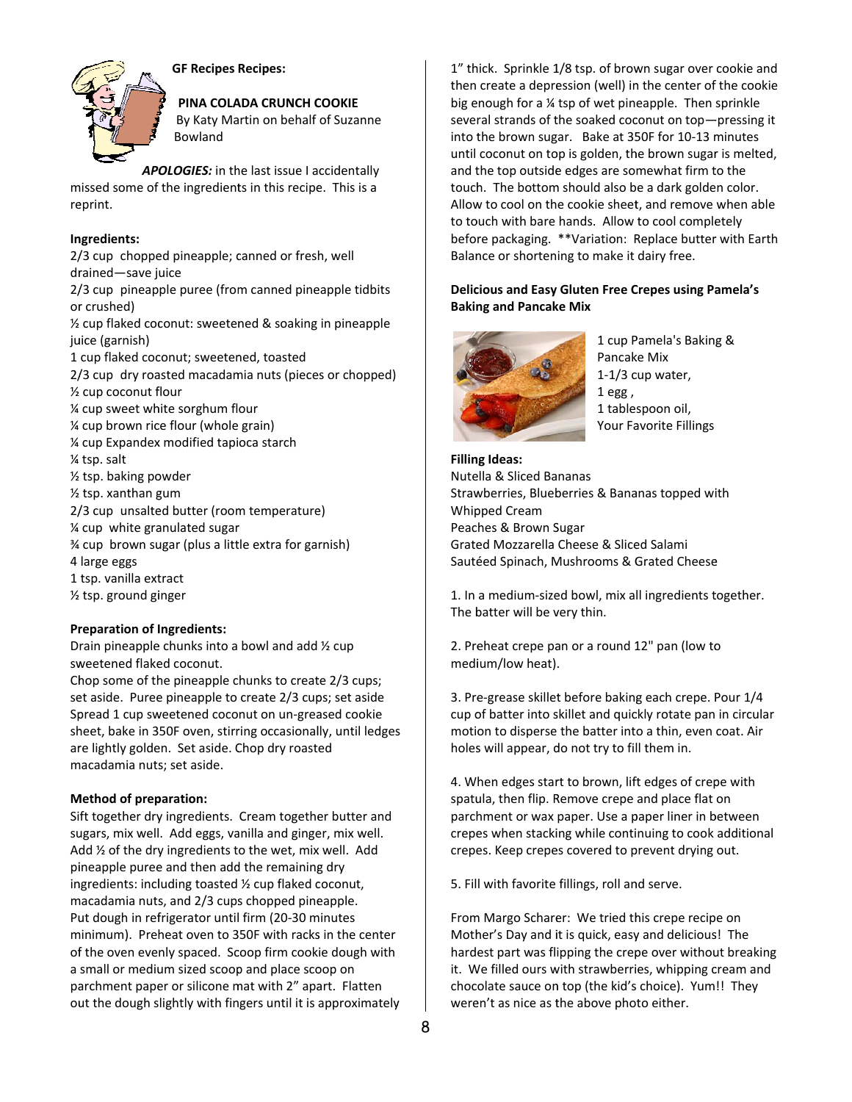

**GF Recipes Recipes:** 

# PINA COLADA CRUNCH COOKIE

By Katy Martin on behalf of Suzanne **Bowland** 

APOLOGIES: in the last issue I accidentally missed some of the ingredients in this recipe. This is a reprint.

## Ingredients:

2/3 cup chopped pineapple; canned or fresh, well drained-save juice

2/3 cup pineapple puree (from canned pineapple tidbits or crushed)

1/2 cup flaked coconut: sweetened & soaking in pineapple juice (garnish)

1 cup flaked coconut; sweetened, toasted

2/3 cup dry roasted macadamia nuts (pieces or chopped) 1/2 cup coconut flour 1/4 cup sweet white sorghum flour % cup brown rice flour (whole grain) % cup Expandex modified tapioca starch

1/4 tsp. salt

1/<sub>2</sub> tsp. baking powder

1/2 tsp. xanthan gum

2/3 cup unsalted butter (room temperature) 1/4 cup white granulated sugar % cup brown sugar (plus a little extra for garnish) 4 large eggs 1 tsp. vanilla extract 1/2 tsp. ground ginger

# **Preparation of Ingredients:**

Drain pineapple chunks into a bowl and add 1/2 cup sweetened flaked coconut.

Chop some of the pineapple chunks to create 2/3 cups; set aside. Puree pineapple to create 2/3 cups; set aside Spread 1 cup sweetened coconut on un-greased cookie sheet, bake in 350F oven, stirring occasionally, until ledges are lightly golden. Set aside. Chop dry roasted macadamia nuts; set aside.

# **Method of preparation:**

Sift together dry ingredients. Cream together butter and sugars, mix well. Add eggs, vanilla and ginger, mix well. Add 1/2 of the dry ingredients to the wet, mix well. Add pineapple puree and then add the remaining dry ingredients: including toasted 1/2 cup flaked coconut, macadamia nuts, and 2/3 cups chopped pineapple. Put dough in refrigerator until firm (20-30 minutes minimum). Preheat oven to 350F with racks in the center of the oven evenly spaced. Scoop firm cookie dough with a small or medium sized scoop and place scoop on parchment paper or silicone mat with 2" apart. Flatten out the dough slightly with fingers until it is approximately 1" thick. Sprinkle 1/8 tsp. of brown sugar over cookie and then create a depression (well) in the center of the cookie big enough for a 1/4 tsp of wet pineapple. Then sprinkle several strands of the soaked coconut on top-pressing it into the brown sugar. Bake at 350F for 10-13 minutes until coconut on top is golden, the brown sugar is melted, and the top outside edges are somewhat firm to the touch. The bottom should also be a dark golden color. Allow to cool on the cookie sheet, and remove when able to touch with bare hands. Allow to cool completely before packaging. \*\*Variation: Replace butter with Earth Balance or shortening to make it dairy free.

## **Delicious and Easy Gluten Free Crepes using Pamela's Baking and Pancake Mix**



1 cup Pamela's Baking & Pancake Mix  $1-1/3$  cup water,  $1egg,$ 1 tablespoon oil, **Your Favorite Fillings** 

**Filling Ideas:** Nutella & Sliced Bananas Strawberries, Blueberries & Bananas topped with Whipped Cream Peaches & Brown Sugar Grated Mozzarella Cheese & Sliced Salami Sautéed Spinach, Mushrooms & Grated Cheese

1. In a medium-sized bowl, mix all ingredients together. The batter will be very thin.

2. Preheat crepe pan or a round 12" pan (low to medium/low heat).

3. Pre-grease skillet before baking each crepe. Pour 1/4 cup of batter into skillet and quickly rotate pan in circular motion to disperse the batter into a thin, even coat. Air holes will appear, do not try to fill them in.

4. When edges start to brown, lift edges of crepe with spatula, then flip. Remove crepe and place flat on parchment or wax paper. Use a paper liner in between crepes when stacking while continuing to cook additional crepes. Keep crepes covered to prevent drying out.

5. Fill with favorite fillings, roll and serve.

From Margo Scharer: We tried this crepe recipe on Mother's Day and it is quick, easy and delicious! The hardest part was flipping the crepe over without breaking it. We filled ours with strawberries, whipping cream and chocolate sauce on top (the kid's choice). Yum!! They weren't as nice as the above photo either.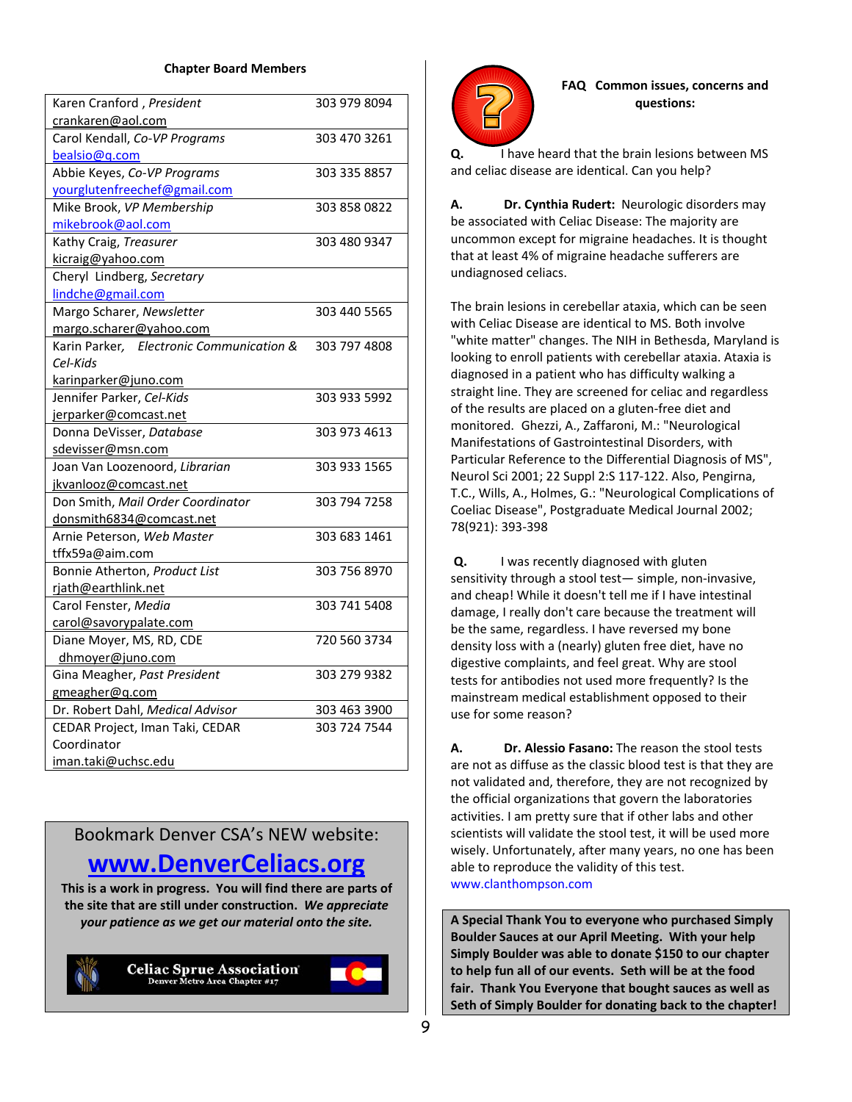## **Chapter Board Members**

| Karen Cranford, President<br>303 979 8094<br>crankaren@aol.com<br>Carol Kendall, Co-VP Programs<br>303 470 3261<br>bealsio@q.com<br>Abbie Keyes, Co-VP Programs<br>303 335 8857<br>yourglutenfreechef@gmail.com<br>Mike Brook, VP Membership<br>303 858 0822<br>mikebrook@aol.com<br>303 480 9347<br>Kathy Craig, Treasurer<br>kicraig@yahoo.com<br>Cheryl Lindberg, Secretary<br>lindche@gmail.com<br>Margo Scharer, Newsletter<br>303 440 5565<br>margo.scharer@yahoo.com<br>Karin Parker, Electronic Communication &<br>303 797 4808<br>Cel-Kids<br>karinparker@juno.com<br>Jennifer Parker, Cel-Kids<br>303 933 5992<br>jerparker@comcast.net<br>Donna DeVisser, Database<br>303 973 4613<br>sdevisser@msn.com<br>Joan Van Loozenoord, Librarian<br>303 933 1565<br>jkvanlooz@comcast.net<br>Don Smith, Mail Order Coordinator<br>303 794 7258 |
|----------------------------------------------------------------------------------------------------------------------------------------------------------------------------------------------------------------------------------------------------------------------------------------------------------------------------------------------------------------------------------------------------------------------------------------------------------------------------------------------------------------------------------------------------------------------------------------------------------------------------------------------------------------------------------------------------------------------------------------------------------------------------------------------------------------------------------------------------|
|                                                                                                                                                                                                                                                                                                                                                                                                                                                                                                                                                                                                                                                                                                                                                                                                                                                    |
|                                                                                                                                                                                                                                                                                                                                                                                                                                                                                                                                                                                                                                                                                                                                                                                                                                                    |
|                                                                                                                                                                                                                                                                                                                                                                                                                                                                                                                                                                                                                                                                                                                                                                                                                                                    |
|                                                                                                                                                                                                                                                                                                                                                                                                                                                                                                                                                                                                                                                                                                                                                                                                                                                    |
|                                                                                                                                                                                                                                                                                                                                                                                                                                                                                                                                                                                                                                                                                                                                                                                                                                                    |
|                                                                                                                                                                                                                                                                                                                                                                                                                                                                                                                                                                                                                                                                                                                                                                                                                                                    |
|                                                                                                                                                                                                                                                                                                                                                                                                                                                                                                                                                                                                                                                                                                                                                                                                                                                    |
|                                                                                                                                                                                                                                                                                                                                                                                                                                                                                                                                                                                                                                                                                                                                                                                                                                                    |
|                                                                                                                                                                                                                                                                                                                                                                                                                                                                                                                                                                                                                                                                                                                                                                                                                                                    |
|                                                                                                                                                                                                                                                                                                                                                                                                                                                                                                                                                                                                                                                                                                                                                                                                                                                    |
|                                                                                                                                                                                                                                                                                                                                                                                                                                                                                                                                                                                                                                                                                                                                                                                                                                                    |
|                                                                                                                                                                                                                                                                                                                                                                                                                                                                                                                                                                                                                                                                                                                                                                                                                                                    |
|                                                                                                                                                                                                                                                                                                                                                                                                                                                                                                                                                                                                                                                                                                                                                                                                                                                    |
|                                                                                                                                                                                                                                                                                                                                                                                                                                                                                                                                                                                                                                                                                                                                                                                                                                                    |
|                                                                                                                                                                                                                                                                                                                                                                                                                                                                                                                                                                                                                                                                                                                                                                                                                                                    |
|                                                                                                                                                                                                                                                                                                                                                                                                                                                                                                                                                                                                                                                                                                                                                                                                                                                    |
|                                                                                                                                                                                                                                                                                                                                                                                                                                                                                                                                                                                                                                                                                                                                                                                                                                                    |
|                                                                                                                                                                                                                                                                                                                                                                                                                                                                                                                                                                                                                                                                                                                                                                                                                                                    |
|                                                                                                                                                                                                                                                                                                                                                                                                                                                                                                                                                                                                                                                                                                                                                                                                                                                    |
|                                                                                                                                                                                                                                                                                                                                                                                                                                                                                                                                                                                                                                                                                                                                                                                                                                                    |
|                                                                                                                                                                                                                                                                                                                                                                                                                                                                                                                                                                                                                                                                                                                                                                                                                                                    |
|                                                                                                                                                                                                                                                                                                                                                                                                                                                                                                                                                                                                                                                                                                                                                                                                                                                    |
|                                                                                                                                                                                                                                                                                                                                                                                                                                                                                                                                                                                                                                                                                                                                                                                                                                                    |
|                                                                                                                                                                                                                                                                                                                                                                                                                                                                                                                                                                                                                                                                                                                                                                                                                                                    |
| donsmith6834@comcast.net                                                                                                                                                                                                                                                                                                                                                                                                                                                                                                                                                                                                                                                                                                                                                                                                                           |
| Arnie Peterson, Web Master<br>303 683 1461                                                                                                                                                                                                                                                                                                                                                                                                                                                                                                                                                                                                                                                                                                                                                                                                         |
| tffx59a@aim.com                                                                                                                                                                                                                                                                                                                                                                                                                                                                                                                                                                                                                                                                                                                                                                                                                                    |
| 303 756 8970<br>Bonnie Atherton, Product List                                                                                                                                                                                                                                                                                                                                                                                                                                                                                                                                                                                                                                                                                                                                                                                                      |
| rjath@earthlink.net                                                                                                                                                                                                                                                                                                                                                                                                                                                                                                                                                                                                                                                                                                                                                                                                                                |
| 303 741 5408<br>Carol Fenster, Media                                                                                                                                                                                                                                                                                                                                                                                                                                                                                                                                                                                                                                                                                                                                                                                                               |
| carol@savorypalate.com                                                                                                                                                                                                                                                                                                                                                                                                                                                                                                                                                                                                                                                                                                                                                                                                                             |
| 720 560 3734<br>Diane Moyer, MS, RD, CDE                                                                                                                                                                                                                                                                                                                                                                                                                                                                                                                                                                                                                                                                                                                                                                                                           |
| dhmoyer@juno.com                                                                                                                                                                                                                                                                                                                                                                                                                                                                                                                                                                                                                                                                                                                                                                                                                                   |
| 303 279 9382<br>Gina Meagher, Past President                                                                                                                                                                                                                                                                                                                                                                                                                                                                                                                                                                                                                                                                                                                                                                                                       |
| gmeagher@q.com                                                                                                                                                                                                                                                                                                                                                                                                                                                                                                                                                                                                                                                                                                                                                                                                                                     |
| Dr. Robert Dahl, Medical Advisor<br>303 463 3900                                                                                                                                                                                                                                                                                                                                                                                                                                                                                                                                                                                                                                                                                                                                                                                                   |
| 303 724 7544<br>CEDAR Project, Iman Taki, CEDAR                                                                                                                                                                                                                                                                                                                                                                                                                                                                                                                                                                                                                                                                                                                                                                                                    |
| Coordinator                                                                                                                                                                                                                                                                                                                                                                                                                                                                                                                                                                                                                                                                                                                                                                                                                                        |
| iman.taki@uchsc.edu                                                                                                                                                                                                                                                                                                                                                                                                                                                                                                                                                                                                                                                                                                                                                                                                                                |

Bookmark Denver CSA's NEW website:

# **www.DenverCeliacs.org**

**This is a work in progress. You will find there are parts of the site that are still under construction.** *We appreciate your patience as we get our material onto the site.*





**FAQ Common issues, concerns and questions:**

**Q.** I have heard that the brain lesions between MS and celiac disease are identical. Can you help?

**A. Dr. Cynthia Rudert:** Neurologic disorders may be associated with Celiac Disease: The majority are uncommon except for migraine headaches. It is thought that at least 4% of migraine headache sufferers are undiagnosed celiacs.

The brain lesions in cerebellar ataxia, which can be seen with Celiac Disease are identical to MS. Both involve "white matter" changes. The NIH in Bethesda, Maryland is looking to enroll patients with cerebellar ataxia. Ataxia is diagnosed in a patient who has difficulty walking a straight line. They are screened for celiac and regardless of the results are placed on a gluten‐free diet and monitored. Ghezzi, A., Zaffaroni, M.: "Neurological Manifestations of Gastrointestinal Disorders, with Particular Reference to the Differential Diagnosis of MS", Neurol Sci 2001; 22 Suppl 2:S 117‐122. Also, Pengirna, T.C., Wills, A., Holmes, G.: "Neurological Complications of Coeliac Disease", Postgraduate Medical Journal 2002; 78(921): 393‐398

**Q.** I was recently diagnosed with gluten sensitivity through a stool test― simple, non‐invasive, and cheap! While it doesn't tell me if I have intestinal damage, I really don't care because the treatment will be the same, regardless. I have reversed my bone density loss with a (nearly) gluten free diet, have no digestive complaints, and feel great. Why are stool tests for antibodies not used more frequently? Is the mainstream medical establishment opposed to their use for some reason?

**A. Dr. Alessio Fasano:** The reason the stool tests are not as diffuse as the classic blood test is that they are not validated and, therefore, they are not recognized by the official organizations that govern the laboratories activities. I am pretty sure that if other labs and other scientists will validate the stool test, it will be used more wisely. Unfortunately, after many years, no one has been able to reproduce the validity of this test. www.clanthompson.com

**A Special Thank You to everyone who purchased Simply Boulder Sauces at our April Meeting. With your help Simply Boulder was able to donate \$150 to our chapter to help fun all of our events. Seth will be at the food fair. Thank You Everyone that bought sauces as well as Seth of Simply Boulder for donating back to the chapter!**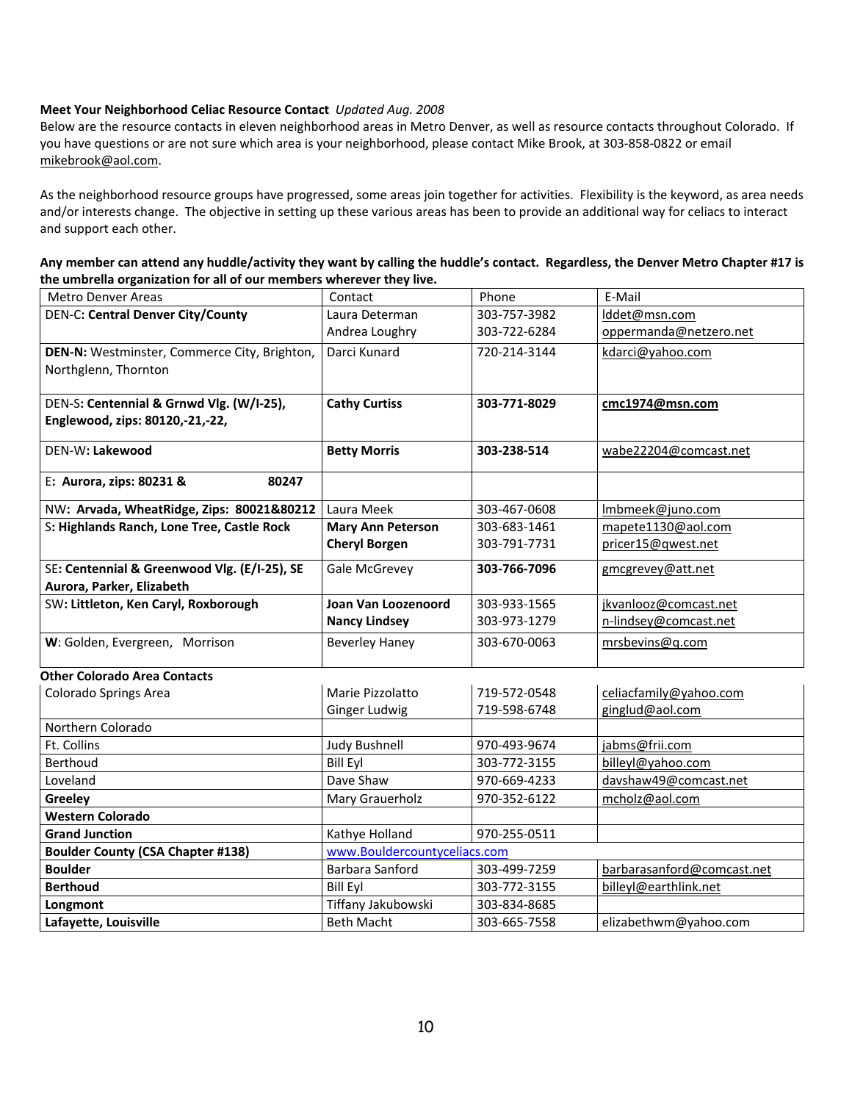## **Meet Your Neighborhood Celiac Resource Contact** *Updated Aug. 2008*

Below are the resource contacts in eleven neighborhood areas in Metro Denver, as well as resource contacts throughout Colorado. If you have questions or are not sure which area is your neighborhood, please contact Mike Brook, at 303‐858‐0822 or email mikebrook@aol.com.

As the neighborhood resource groups have progressed, some areas join together for activities. Flexibility is the keyword, as area needs and/or interests change. The objective in setting up these various areas has been to provide an additional way for celiacs to interact and support each other.

| <b>Metro Denver Areas</b>                    | Contact                  | Phone                        | E-Mail                     |  |  |
|----------------------------------------------|--------------------------|------------------------------|----------------------------|--|--|
| <b>DEN-C: Central Denver City/County</b>     | Laura Determan           | 303-757-3982                 | Iddet@msn.com              |  |  |
|                                              | Andrea Loughry           | 303-722-6284                 | oppermanda@netzero.net     |  |  |
| DEN-N: Westminster, Commerce City, Brighton, | Darci Kunard             | 720-214-3144                 | kdarci@yahoo.com           |  |  |
| Northglenn, Thornton                         |                          |                              |                            |  |  |
|                                              |                          |                              |                            |  |  |
| DEN-S: Centennial & Grnwd Vlg. (W/I-25),     | <b>Cathy Curtiss</b>     | 303-771-8029                 | cmc1974@msn.com            |  |  |
| Englewood, zips: 80120,-21,-22,              |                          |                              |                            |  |  |
| DEN-W: Lakewood                              | <b>Betty Morris</b>      | 303-238-514                  | wabe22204@comcast.net      |  |  |
|                                              |                          |                              |                            |  |  |
| E: Aurora, zips: 80231 &<br>80247            |                          |                              |                            |  |  |
| NW: Arvada, WheatRidge, Zips: 80021&80212    | Laura Meek               | 303-467-0608                 | Imbmeek@juno.com           |  |  |
| S: Highlands Ranch, Lone Tree, Castle Rock   | <b>Mary Ann Peterson</b> | 303-683-1461                 | mapete1130@aol.com         |  |  |
|                                              | <b>Cheryl Borgen</b>     | 303-791-7731                 | pricer15@gwest.net         |  |  |
| SE: Centennial & Greenwood Vlg. (E/I-25), SE | Gale McGrevey            | 303-766-7096                 | gmcgrevey@att.net          |  |  |
| Aurora, Parker, Elizabeth                    |                          |                              |                            |  |  |
| SW: Littleton, Ken Caryl, Roxborough         | Joan Van Loozenoord      | 303-933-1565                 | jkvanlooz@comcast.net      |  |  |
|                                              | <b>Nancy Lindsey</b>     | 303-973-1279                 | n-lindsey@comcast.net      |  |  |
| W: Golden, Evergreen, Morrison               | <b>Beverley Haney</b>    | 303-670-0063                 | mrsbevins@q.com            |  |  |
| <b>Other Colorado Area Contacts</b>          |                          |                              |                            |  |  |
| Colorado Springs Area                        | Marie Pizzolatto         | 719-572-0548                 | celiacfamily@yahoo.com     |  |  |
|                                              | Ginger Ludwig            | 719-598-6748                 | ginglud@aol.com            |  |  |
| Northern Colorado                            |                          |                              |                            |  |  |
| Ft. Collins                                  | <b>Judy Bushnell</b>     | 970-493-9674                 | jabms@frii.com             |  |  |
| Berthoud                                     | <b>Bill Eyl</b>          | 303-772-3155                 | billeyl@yahoo.com          |  |  |
| Loveland                                     | Dave Shaw                | 970-669-4233                 | davshaw49@comcast.net      |  |  |
| Greeley                                      | Mary Grauerholz          | 970-352-6122                 | mcholz@aol.com             |  |  |
| <b>Western Colorado</b>                      |                          |                              |                            |  |  |
| <b>Grand Junction</b>                        | Kathye Holland           | 970-255-0511                 |                            |  |  |
| <b>Boulder County (CSA Chapter #138)</b>     |                          | www.Bouldercountyceliacs.com |                            |  |  |
| <b>Boulder</b>                               | Barbara Sanford          | 303-499-7259                 | barbarasanford@comcast.net |  |  |
| <b>Berthoud</b>                              | <b>Bill Eyl</b>          | 303-772-3155                 | billeyl@earthlink.net      |  |  |

| Any member can attend any huddle/activity they want by calling the huddle's contact. Regardless, the Denver Metro Chapter #17 is |  |
|----------------------------------------------------------------------------------------------------------------------------------|--|
| the umbrella organization for all of our members wherever they live.                                                             |  |

**Lafayette, Louisville Lafayette, Louisville Lafayette, Louisville Elizabethwm@yahoo.com** 

**Longmont Longmont Longmont Tiffany Jakubowski** 303-834-8685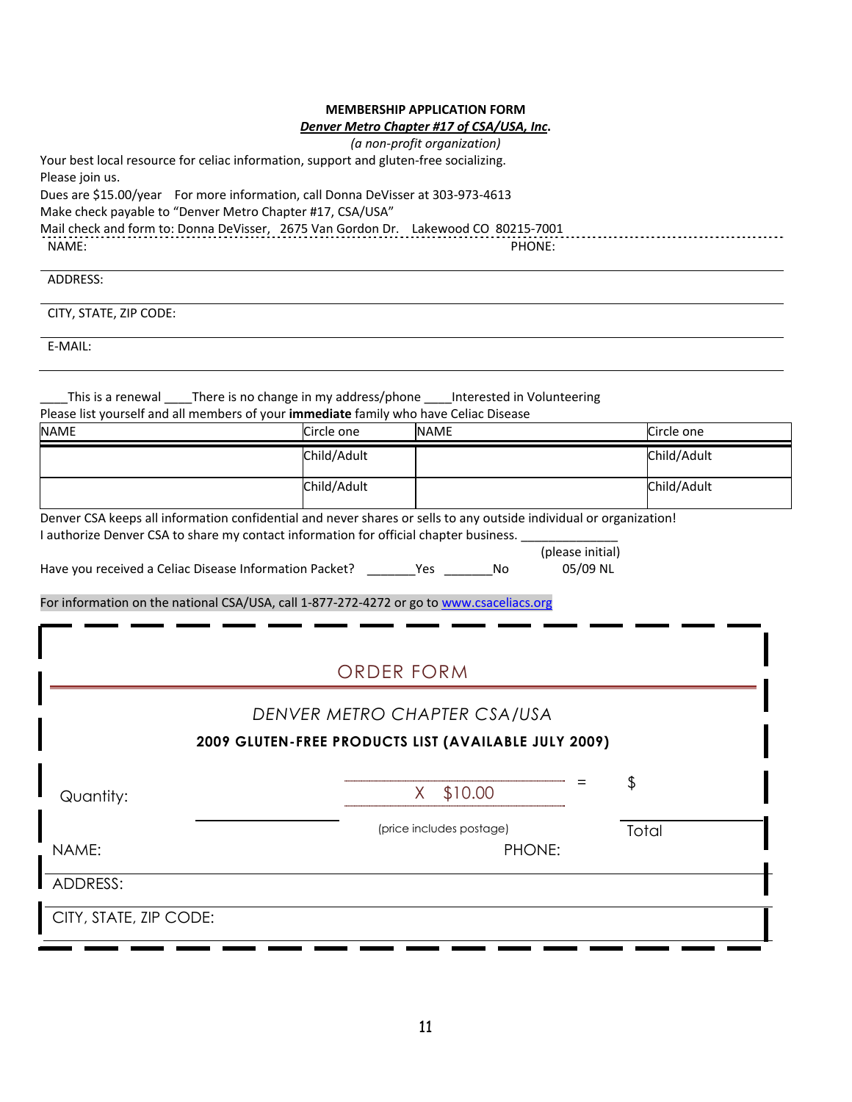## *Denver Metro Chapter #17 of CSA/USA, Inc***.**

| (a non-profit organization)                                                           |  |
|---------------------------------------------------------------------------------------|--|
| Your best local resource for celiac information, support and gluten-free socializing. |  |
| Please join us.                                                                       |  |
| Dues are \$15.00/year For more information, call Donna DeVisser at 303-973-4613       |  |
| Make check payable to "Denver Metro Chapter #17, CSA/USA"                             |  |
| Mail check and form to: Donna DeVisser, 2675 Van Gordon Dr. Lakewood CO 80215-7001    |  |
| NAME:<br>PHONE:                                                                       |  |

# ADDRESS:

CITY, STATE, ZIP CODE:

E‐MAIL:

\_\_\_\_This is a renewal \_\_\_\_There is no change in my address/phone \_\_\_\_Interested in Volunteering Please list yourself and all members of your **immediate** family who have Celiac Disease

| <b>NAME</b>                                                                                                                                                                                                                                                                                                                                                                                     | Circle one        | <b>NAME</b>                        |                              | Circle one  |  |  |  |  |
|-------------------------------------------------------------------------------------------------------------------------------------------------------------------------------------------------------------------------------------------------------------------------------------------------------------------------------------------------------------------------------------------------|-------------------|------------------------------------|------------------------------|-------------|--|--|--|--|
|                                                                                                                                                                                                                                                                                                                                                                                                 | Child/Adult       |                                    |                              | Child/Adult |  |  |  |  |
|                                                                                                                                                                                                                                                                                                                                                                                                 | Child/Adult       |                                    |                              | Child/Adult |  |  |  |  |
| Denver CSA keeps all information confidential and never shares or sells to any outside individual or organization!<br>I authorize Denver CSA to share my contact information for official chapter business.<br>Have you received a Celiac Disease Information Packet? __________________________ No<br>For information on the national CSA/USA, call 1-877-272-4272 or go to www.csaceliacs.org |                   |                                    | (please initial)<br>05/09 NL |             |  |  |  |  |
|                                                                                                                                                                                                                                                                                                                                                                                                 |                   |                                    |                              |             |  |  |  |  |
|                                                                                                                                                                                                                                                                                                                                                                                                 | <b>ORDER FORM</b> |                                    |                              |             |  |  |  |  |
| DENVER METRO CHAPTER CSA/USA                                                                                                                                                                                                                                                                                                                                                                    |                   |                                    |                              |             |  |  |  |  |
| 2009 GLUTEN-FREE PRODUCTS LIST (AVAILABLE JULY 2009)                                                                                                                                                                                                                                                                                                                                            |                   |                                    |                              |             |  |  |  |  |
| Quantity:                                                                                                                                                                                                                                                                                                                                                                                       |                   | \$10.00<br>$X_{-}$                 |                              | \$          |  |  |  |  |
| NAME:                                                                                                                                                                                                                                                                                                                                                                                           |                   | (price includes postage)<br>PHONE: |                              | Total       |  |  |  |  |
| ADDRESS:                                                                                                                                                                                                                                                                                                                                                                                        |                   |                                    |                              |             |  |  |  |  |
| CITY, STATE, ZIP CODE:                                                                                                                                                                                                                                                                                                                                                                          |                   |                                    |                              |             |  |  |  |  |